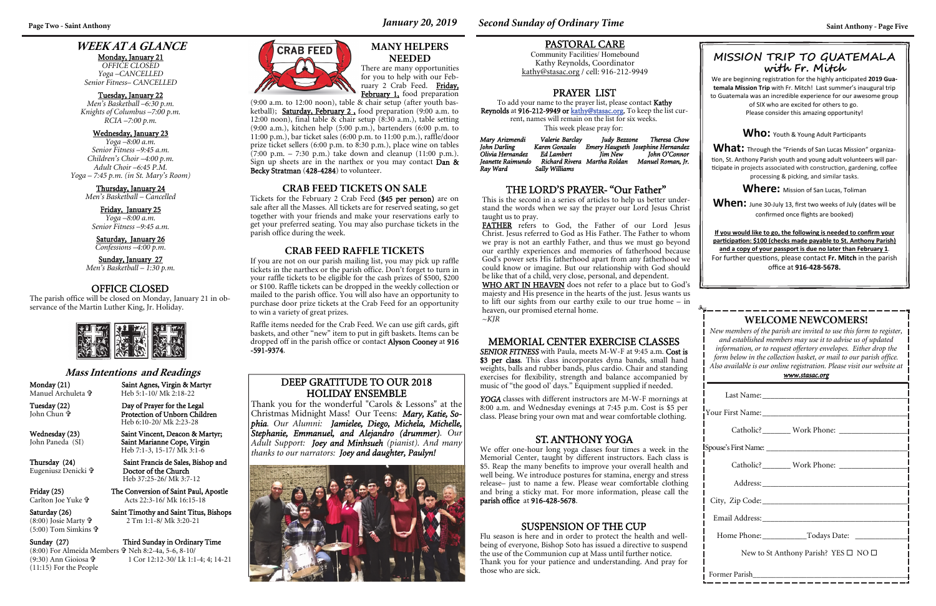## **WEEK AT A GLANCE**

Monday, January 21 *OFFICE CLOSED Yoga –CANCELLED Senior Fitness– CANCELLED* 

#### Tuesday, January 22

*Men's Basketball –6:30 p.m. Knights of Columbus –7:00 p.m. RCIA –7:00 p.m.* 

#### Wednesday, January 23

Sunday, January 27 *Men's Basketball – 1:30 p.m.* 

*Yoga –8:00 a.m. Senior Fitness –9:45 a.m. Children's Choir –4:00 p.m. Adult Choir –6:45 P.M. Yoga – 7:45 p.m. (in St. Mary's Room)* 

#### Thursday, January 24

*Men's Basketball – Cancelled* 

| New to St Anthony Parish? YES $\square$ NO $\square$ |  |  |  |
|------------------------------------------------------|--|--|--|
|                                                      |  |  |  |

Friday, January 25 *Yoga –8:00 a.m. Senior Fitness –9:45 a.m.* 

#### Saturday, January 26

*Confessions –4:00 p.m.* 

## **WELCOME NEWCOMERS!**

 Heb 5:1-10/ Mk 2:18-22 Day of Prayer for the Legal

*New members of the parish are invited to use this form to register, and established members may use it to advise us of updated information, or to request offertory envelopes. Either drop the form below in the collection basket, or mail to our parish office. Also available is our online registration. Please visit our website at* 

| <u>www.stasac.org</u> |  |
|-----------------------|--|
|                       |  |

 $(8:00)$  Josie Marty  $\mathbf{\hat{v}}$ (5:00) Tom Simkins

Sunday (27) Third Sunday in Ordinary Time (8:00) For Almeida Members Neh 8:2-4a, 5-6, 8-10/ 1 Cor 12:12-30/ Lk 1:1-4; 4; 14-21



YOGA classes with different instructors are M-W-F mornings at 8:00 a.m. and Wednesday evenings at 7:45 p.m. Cost is \$5 per class. Please bring your own mat and wear comfortable clothing.

#### **Mass Intentions and Readings**

Monday (21) Saint Agnes, Virgin & Martyr Manuel Archuleta

John Chun

 Protection of Unborn Children Heb 6:10-20/ Mk 2:23-28

Wednesday (23) Saint Vincent, Deacon & Martyr;<br>John Paneda (SI) Saint Marianne Cope, Virgin Saint Marianne Cope, Virgin

FATHER refers to God, the Father of our Lord Jesus Christ. Jesus referred to God as His Father. The Father to whom we pray is not an earthly Father, and thus we must go beyond our earthly experiences and memories of fatherhood because God's power sets His fatherhood apart from any fatherhood we could know or imagine. But our relationship with God should be like that of a child, very close, personal, and dependent.

Heb 7:1-3, 15-17/ Mk 3:1-6

Friday (25) The Conversion of Saint Paul, Apostle

WHO ART IN HEAVEN does not refer to a place but to God's majesty and His presence in the hearts of the just. Jesus wants us to lift our sights from our earthy exile to our true home – in heaven, our promised eternal home. <sup>~</sup>*KJR*

Eugeniusz Denicki

Thursday (24) Saint Francis de Sales, Bishop and Doctor of the Church Heb 37:25-26/ Mk 3:7-12

Carlton Joe Yuke

Acts 22:3-16/ Mk 16:15-18

Saturday (26) Saint Timothy and Saint Titus, Bishops 2 Tm 1:1-8/ Mk 3:20-21

(9:30) Ann Gioiosa (11:15) For the People

#### MEMORIAL CENTER EXERCISE CLASSES

*SENIOR FITNESS* with Paula, meets M-W-F at 9:45 a.m. Cost is \$3 per class. This class incorporates dyna bands, small hand weights, balls and rubber bands, plus cardio. Chair and standing exercises for flexibility, strength and balance accompanied by music of "the good ol' days." Equipment supplied if needed.

PASTORAL CARE Community Facilities/ Homebound Kathy Reynolds, Coordinator kathy@stasac.org / cell: 916-212-9949

### THE LORD'S PRAYER- "Our Father"

This is the second in a series of articles to help us better understand the words when we say the prayer our Lord Jesus Christ taught us to pray.

We are beginning registration for the highly anticipated 2019 Gua**temala Mission Trip** with Fr. Mitch! Last summer's inaugural trip to Guatemala was an incredible experience for our awesome group of SIX who are excited for others to go.

### ST. ANTHONY YOGA

We offer one-hour long yoga classes four times a week in the Memorial Center, taught by different instructors. Each class is \$5. Reap the many benefits to improve your overall health and well being. We introduce postures for stamina, energy and stress release– just to name a few. Please wear comfortable clothing and bring a sticky mat. For more information, please call the parish office at 916-428-5678.

PRAYER LISTTo add your name to the prayer list, please contact Kathy Reynolds at 916-212-9949 or kathy@stasac.org. To keep the list current, names will remain on the list for six weeks. This week please pray for:

| Mary Arizmendi    | Valerie Barclay | Iudv Bezzone                 | Theresa Chow                       |
|-------------------|-----------------|------------------------------|------------------------------------|
| John Darling      | Karen Gonzales  |                              | Emery Haugseth Josephine Hernandez |
| Olivia Hernandez  | Ed Lambert      | Iim New                      | John O'Connor                      |
| Ieanette Raimundo |                 | Richard Rivera Martha Roldan | Manuel Roman, Ir.                  |
| Ray Ward          | Sally Williams  |                              |                                    |

### **MANY HELPERS NEEDED**

There are many opportunities for you to help with our February 2 Crab Feed. Friday,

(9:00 a.m. to 12:00 noon), table  $\&$  chair setup (after youth basketball); Saturday, February 2, food preparation (9:00 a.m. to 12:00 noon), final table & chair setup (8:30 a.m.), table setting (9:00 a.m.), kitchen help (5:00 p.m.), bartenders (6:00 p.m. to 11:00 p.m.), bar ticket sales (6:00 p.m. to 11:00 p.m.), raffle/door prize ticket sellers (6:00 p.m. to 8:30 p.m.), place wine on tables  $(7:00 \text{ p.m.} - 7:30 \text{ p.m.})$  take down and cleanup  $(11:00 \text{ p.m.})$ . Sign up sheets are in the narthex or you may contact Dan & Becky Stratman (428-4284) to volunteer.

#### **CRAB FEED TICKETS ON SALE**

Tickets for the February 2 Crab Feed (\$45 per person) are on sale after all the Masses. All tickets are for reserved seating, so get together with your friends and make your reservations early to get your preferred seating. You may also purchase tickets in the parish office during the week.

#### **CRAB FEED RAFFLE TICKETS**

If you are not on our parish mailing list, you may pick up raffle tickets in the narthex or the parish office. Don't forget to turn in your raffle tickets to be eligible for the cash prizes of \$500, \$200 or \$100. Raffle tickets can be dropped in the weekly collection or mailed to the parish office. You will also have an opportunity to purchase door prize tickets at the Crab Feed for an opportunity to win a variety of great prizes.

Raffle items needed for the Crab Feed. We can use gift cards, gift baskets, and other "new" item to put in gift baskets. Items can be dropped off in the parish office or contact Alyson Cooney at 916 -591-9374.

### OFFICE CLOSED

The parish office will be closed on Monday, January 21 in observance of the Martin Luther King, Jr. Holiday.



### DEEP GRATITUDE TO OUR 2018 HOLIDAY ENSEMBLE

Thank you for the wonderful "Carols & Lessons" at the Christmas Midnight Mass! Our Teens: *Mary, Katie, Sophia. Our Alumni: Jamielee, Diego, Michela, Michelle, Stephanie, Emmanuel, and Alejandro (drummer). Our Adult Support: Joey and Minhsueh (pianist). And many thanks to our narrators: Joey and daughter, Paulyn!*



February 1, food preparation

### **MISSION TRIP TO GUATEM ALA with Fr. Mitch**

Please consider this amazing opportunity!

Who: Youth & Young Adult Participants

**What:** Through the "Friends of San Lucas Mission" organization, St. Anthony Parish youth and young adult volunteers will participate in projects associated with construction, gardening, coffee processing & picking, and similar tasks.

**Where:** Mission of San Lucas, Toliman

**When:** June 30-July 13, first two weeks of July (dates will be confirmed once flights are booked)

**If you would like to go, the following is needed to confirm your par Ɵcipa Ɵon: \$100 (checks made payable to St. Anthony Parish) and a copy of your passport is due no later than February 1**. For further questions, please contact **Fr. Mitch** in the parish office at **916-428-5678.** 

### SUSPENSION OF THE CUP

Flu season is here and in order to protect the health and wellbeing of everyone, Bishop Soto has issued a directive to suspend the use of the Communion cup at Mass until further notice. Thank you for your patience and understanding. And pray for those who are sick.